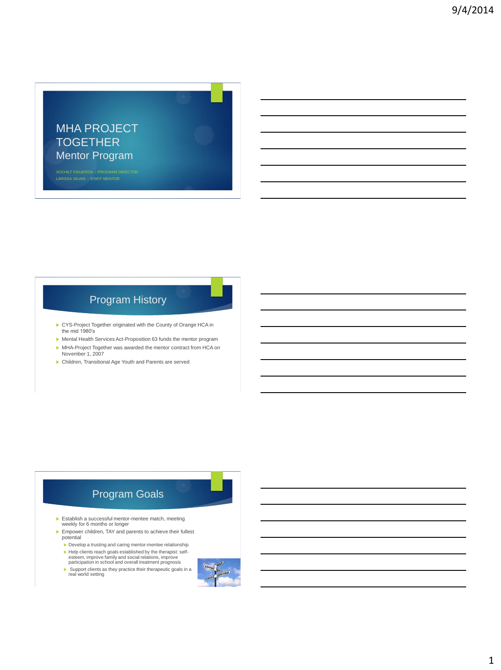

XOCHILT FIGUEROA – PROGRAM DIRECTOR LARISSA SILVAS – STAFF MENTOR

### Program History

- CYS-Project Together originated with the County of Orange HCA in the mid 1980's
- Mental Health Services Act-Proposition 63 funds the mentor program
- MHA-Project Together was awarded the mentor contract from HCA on November 1, 2007
- Children, Transitional Age Youth and Parents are served

#### Program Goals

- Establish a successful mentor-mentee match, meeting weekly for 6 months or longer
- Empower children, TAY and parents to achieve their fullest potential
	- Develop a trusting and caring mentor-mentee relationship
	- Help clients reach goals established by the therapist: self-esteem, improve family and social relations, improve participation in school and overall treatment prognosis
	- Support clients as they practice their therapeutic goals in a real world setting
		-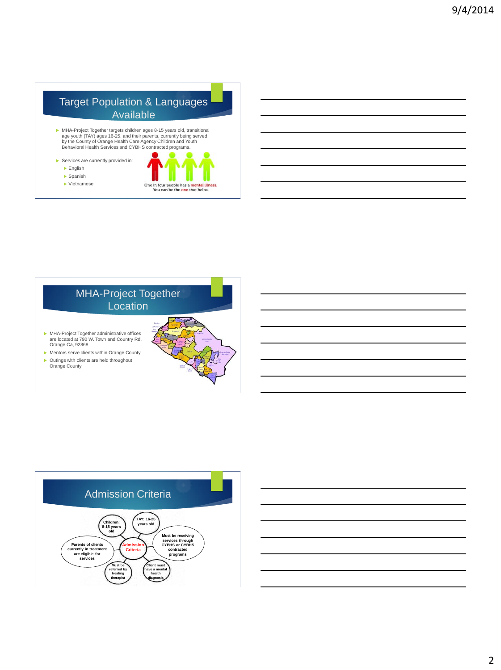### Target Population & Languages Available

- MHA-Project Together targets children ages 8-15 years old, transitional age youth (TAY) ages 16-25, and their parents, currently being served by the County of Orange Health Care Agency Children and Youth Behavioral Health Services and CYBHS contracted programs.
- Services are currently provided in: English

 Spanish Vietnamese



MHA-Project Together **Location**  MHA-Project Together administrative offices are located at 790 W. Town and Country Rd. Orange Ca, 92868 Mentors serve clients within Orange County ▶ Outings with clients are held throughout Orange County

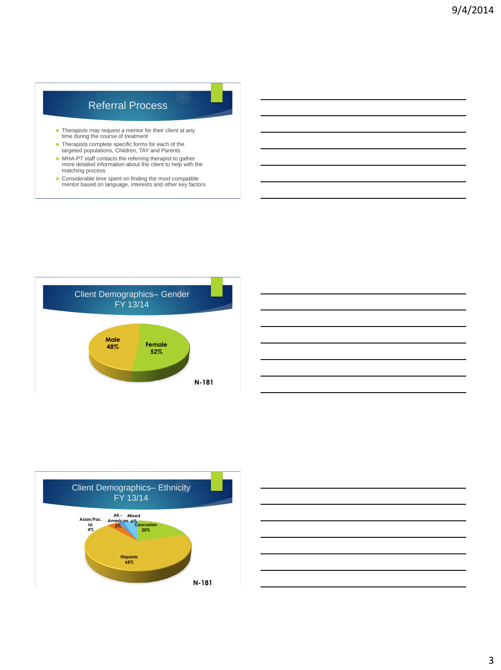#### Referral Process

- Therapists may request a mentor for their client at any time during the course of treatment
- Therapists complete specific forms for each of the targeted populations, Children, TAY and Parents
- MHA-PT staff contacts the referring therapist to gather more detailed information about the client to help with the matching process
- Considerable time spent on finding the most compatible mentor based on language, interests and other key factors





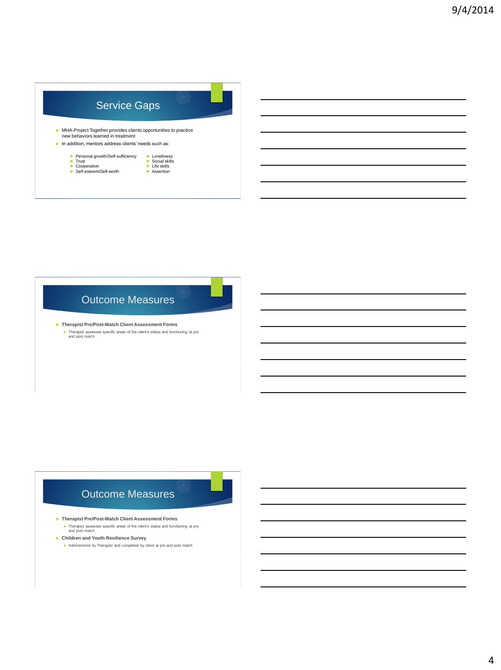| <b>Service Gaps</b>                                                                                                     |               |  |
|-------------------------------------------------------------------------------------------------------------------------|---------------|--|
|                                                                                                                         |               |  |
| new behaviors learned in treatment                                                                                      |               |  |
| MHA-Project Together provides clients opportunities to practice<br>In addition, mentors address clients' needs such as: |               |  |
| Personal growth/Self-sufficiency                                                                                        | Loneliness    |  |
| Trust                                                                                                                   | Social skills |  |
| Cooperation                                                                                                             | Life skills   |  |

### Outcome Measures

 **Therapist Pre/Post-Match Client Assessment Forms** Therapist assesses specific areas of the client's status and functioning at pre and post match

#### Outcome Measures

#### **Therapist Pre/Post-Match Client Assessment Forms**

- Therapist assesses specific areas of the client's status and functioning at pre and post match
- **Children and Youth Resilience Survey**
	- Administered by Therapist and completed by client at pre and post match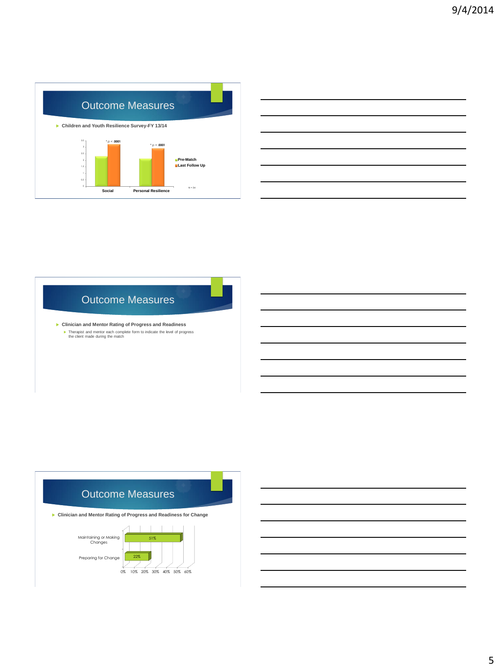